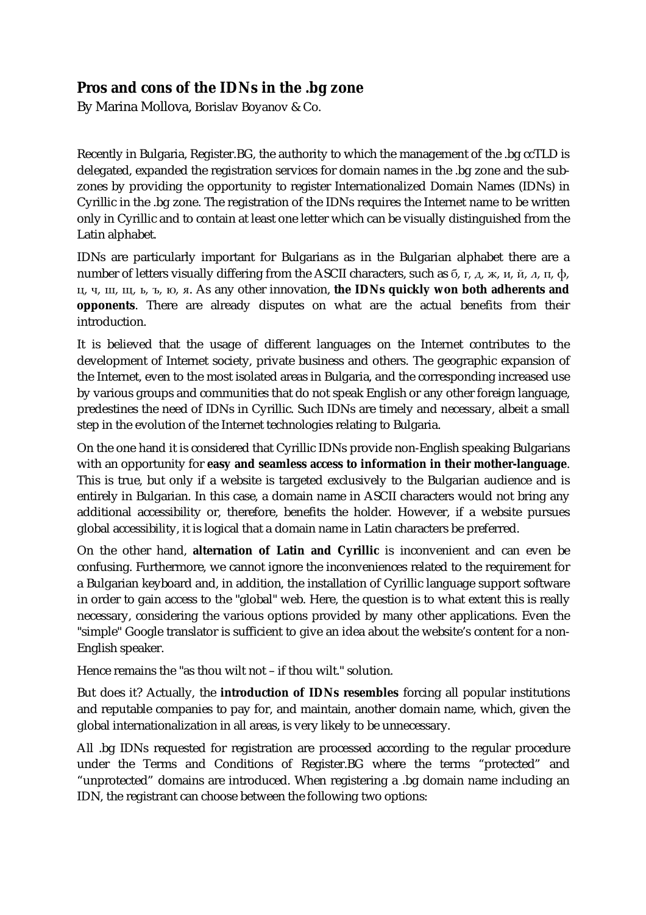## **Pros and cons of the IDNs in the .bg zone**

By Marina Mollova, Borislav Boyanov & Co.

Recently in Bulgaria, Register.BG, the authority to which the management of the .bg ccTLD is delegated, expanded the registration services for domain names in the .bg zone and the subzones by providing the opportunity to register Internationalized Domain Names (IDNs) in Cyrillic in the .bg zone. The registration of the IDNs requires the Internet name to be written only in Cyrillic and to contain at least one letter which can be visually distinguished from the Latin alphabet.

IDNs are particularly important for Bulgarians as in the Bulgarian alphabet there are a number of letters visually differing from the ASCII characters, such as  $6$ ,  $r$ ,  $\Delta$ ,  $x$ ,  $u$ ,  $\ddot{u}$ ,  $\Delta$ ,  $\pi$ ,  $\dot{\Phi}$ , ц, ч, ш, щ, ь, ъ, ю, я. As any other innovation, **the IDNs quickly won both adherents and opponents**. There are already disputes on what are the actual benefits from their introduction.

It is believed that the usage of different languages on the Internet contributes to the development of Internet society, private business and others. The geographic expansion of the Internet, even to the most isolated areas in Bulgaria, and the corresponding increased use by various groups and communities that do not speak English or any other foreign language, predestines the need of IDNs in Cyrillic. Such IDNs are timely and necessary, albeit a small step in the evolution of the Internet technologies relating to Bulgaria.

On the one hand it is considered that Cyrillic IDNs provide non-English speaking Bulgarians with an opportunity for **easy and seamless access to information in their mother-language**. This is true, but only if a website is targeted exclusively to the Bulgarian audience and is entirely in Bulgarian. In this case, a domain name in ASCII characters would not bring any additional accessibility or, therefore, benefits the holder. However, if a website pursues global accessibility, it is logical that a domain name in Latin characters be preferred.

On the other hand, **alternation of Latin and Cyrillic** is inconvenient and can even be confusing. Furthermore, we cannot ignore the inconveniences related to the requirement for a Bulgarian keyboard and, in addition, the installation of Cyrillic language support software in order to gain access to the "global" web. Here, the question is to what extent this is really necessary, considering the various options provided by many other applications. Even the "simple" Google translator is sufficient to give an idea about the website's content for a non-English speaker.

Hence remains the "as thou wilt not – if thou wilt." solution.

But does it? Actually, the **introduction of IDNs resembles** forcing all popular institutions and reputable companies to pay for, and maintain, another domain name, which, given the global internationalization in all areas, is very likely to be unnecessary.

All .bg IDNs requested for registration are processed according to the regular procedure under the Terms and Conditions of Register.BG where the terms "protected" and "unprotected" domains are introduced. When registering a .bg domain name including an IDN, the registrant can choose between the following two options: